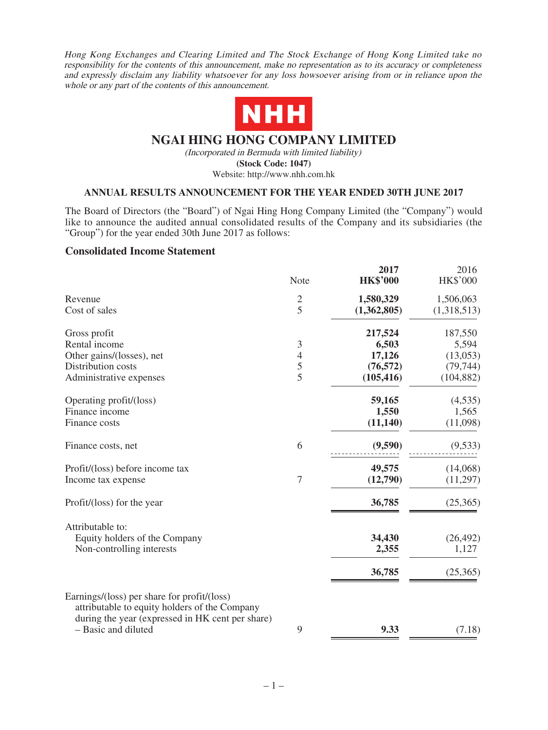Hong Kong Exchanges and Clearing Limited and The Stock Exchange of Hong Kong Limited take no responsibility for the contents of this announcement, make no representation as to its accuracy or completeness and expressly disclaim any liability whatsoever for any loss howsoever arising from or in reliance upon the whole or any part of the contents of this announcement.



# **NGAI HING HONG COMPANY LIMITED**

(Incorporated in Bermuda with limited liability) **(Stock Code: 1047)** Website: http://www.nhh.com.hk

### **ANNUAL RESULTS ANNOUNCEMENT FOR THE YEAR ENDED 30TH JUNE 2017**

The Board of Directors (the "Board") of Ngai Hing Hong Company Limited (the "Company") would like to announce the audited annual consolidated results of the Company and its subsidiaries (the "Group") for the year ended 30th June 2017 as follows:

### **Consolidated Income Statement**

|                                                                                                                                                  | Note           | 2017<br><b>HK\$'000</b> | 2016<br><b>HK\$'000</b> |
|--------------------------------------------------------------------------------------------------------------------------------------------------|----------------|-------------------------|-------------------------|
|                                                                                                                                                  |                |                         |                         |
| Revenue                                                                                                                                          | $\overline{c}$ | 1,580,329               | 1,506,063               |
| Cost of sales                                                                                                                                    | $\overline{5}$ | (1,362,805)             | (1,318,513)             |
| Gross profit                                                                                                                                     |                | 217,524                 | 187,550                 |
| Rental income                                                                                                                                    | $\mathfrak{Z}$ | 6,503                   | 5,594                   |
| Other gains/(losses), net                                                                                                                        | $\overline{4}$ | 17,126                  | (13,053)                |
| Distribution costs                                                                                                                               |                | (76, 572)               | (79, 744)               |
| Administrative expenses                                                                                                                          | $rac{5}{5}$    | (105, 416)              | (104, 882)              |
| Operating profit/(loss)                                                                                                                          |                | 59,165                  | (4,535)                 |
| Finance income                                                                                                                                   |                | 1,550                   | 1,565                   |
| Finance costs                                                                                                                                    |                | (11, 140)               | (11,098)                |
|                                                                                                                                                  |                |                         |                         |
| Finance costs, net                                                                                                                               | 6              | (9,590)                 | (9,533)                 |
| Profit/(loss) before income tax                                                                                                                  |                | 49,575                  | (14,068)                |
| Income tax expense                                                                                                                               | $\overline{7}$ | (12,790)                | (11,297)                |
| Profit/(loss) for the year                                                                                                                       |                | 36,785                  | (25,365)                |
| Attributable to:                                                                                                                                 |                |                         |                         |
| Equity holders of the Company                                                                                                                    |                | 34,430                  | (26, 492)               |
| Non-controlling interests                                                                                                                        |                | 2,355                   | 1,127                   |
|                                                                                                                                                  |                |                         |                         |
|                                                                                                                                                  |                | 36,785                  | (25,365)                |
| Earnings/(loss) per share for profit/(loss)<br>attributable to equity holders of the Company<br>during the year (expressed in HK cent per share) |                |                         |                         |
| - Basic and diluted                                                                                                                              | 9              | 9.33                    | (7.18)                  |
|                                                                                                                                                  |                |                         |                         |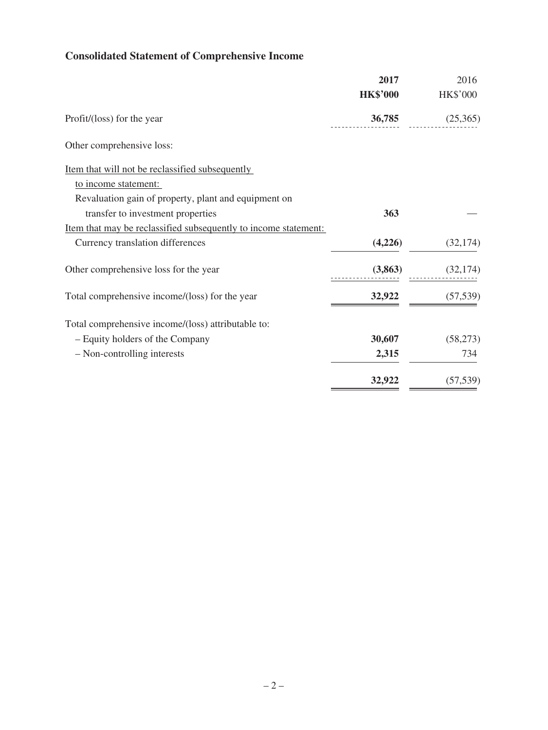# **Consolidated Statement of Comprehensive Income**

|                                                                 | 2017            | 2016            |
|-----------------------------------------------------------------|-----------------|-----------------|
|                                                                 | <b>HK\$'000</b> | <b>HK\$'000</b> |
| Profit/(loss) for the year                                      | 36,785          | (25,365)        |
| Other comprehensive loss:                                       |                 |                 |
| Item that will not be reclassified subsequently                 |                 |                 |
| to income statement:                                            |                 |                 |
| Revaluation gain of property, plant and equipment on            |                 |                 |
| transfer to investment properties                               | 363             |                 |
| Item that may be reclassified subsequently to income statement: |                 |                 |
| Currency translation differences                                | (4,226)         | (32, 174)       |
| Other comprehensive loss for the year                           | (3,863)         | (32, 174)       |
| Total comprehensive income/(loss) for the year                  | 32,922          | (57, 539)       |
| Total comprehensive income/(loss) attributable to:              |                 |                 |
| - Equity holders of the Company                                 | 30,607          | (58, 273)       |
| - Non-controlling interests                                     | 2,315           | 734             |
|                                                                 | 32,922          | (57, 539)       |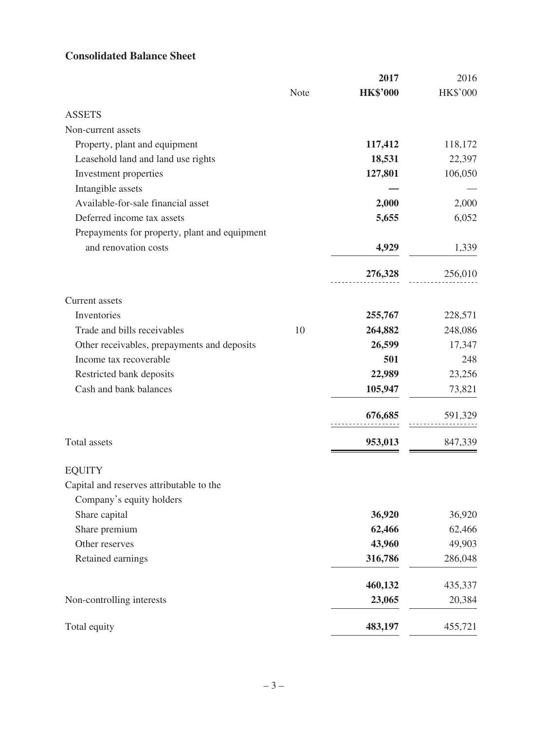# **Consolidated Balance Sheet**

|                                               |      | 2017            | 2016     |
|-----------------------------------------------|------|-----------------|----------|
|                                               | Note | <b>HK\$'000</b> | HK\$'000 |
| <b>ASSETS</b>                                 |      |                 |          |
| Non-current assets                            |      |                 |          |
| Property, plant and equipment                 |      | 117,412         | 118,172  |
| Leasehold land and land use rights            |      | 18,531          | 22,397   |
| Investment properties                         |      | 127,801         | 106,050  |
| Intangible assets                             |      |                 |          |
| Available-for-sale financial asset            |      | 2,000           | 2,000    |
| Deferred income tax assets                    |      | 5,655           | 6,052    |
| Prepayments for property, plant and equipment |      |                 |          |
| and renovation costs                          |      | 4,929           | 1,339    |
|                                               |      | 276,328         | 256,010  |
| Current assets                                |      |                 |          |
| Inventories                                   |      | 255,767         | 228,571  |
| Trade and bills receivables                   | 10   | 264,882         | 248,086  |
| Other receivables, prepayments and deposits   |      | 26,599          | 17,347   |
| Income tax recoverable                        |      | 501             | 248      |
| Restricted bank deposits                      |      | 22,989          | 23,256   |
| Cash and bank balances                        |      | 105,947         | 73,821   |
|                                               |      | 676,685         | 591,329  |
|                                               |      |                 |          |
| Total assets                                  |      | 953,013         | 847,339  |
| <b>EQUITY</b>                                 |      |                 |          |
| Capital and reserves attributable to the      |      |                 |          |
| Company's equity holders                      |      |                 |          |
| Share capital                                 |      | 36,920          | 36,920   |
| Share premium                                 |      | 62,466          | 62,466   |
| Other reserves                                |      | 43,960          | 49,903   |
| Retained earnings                             |      | 316,786         | 286,048  |
|                                               |      | 460,132         | 435,337  |
| Non-controlling interests                     |      | 23,065          | 20,384   |
| Total equity                                  |      | 483,197         | 455,721  |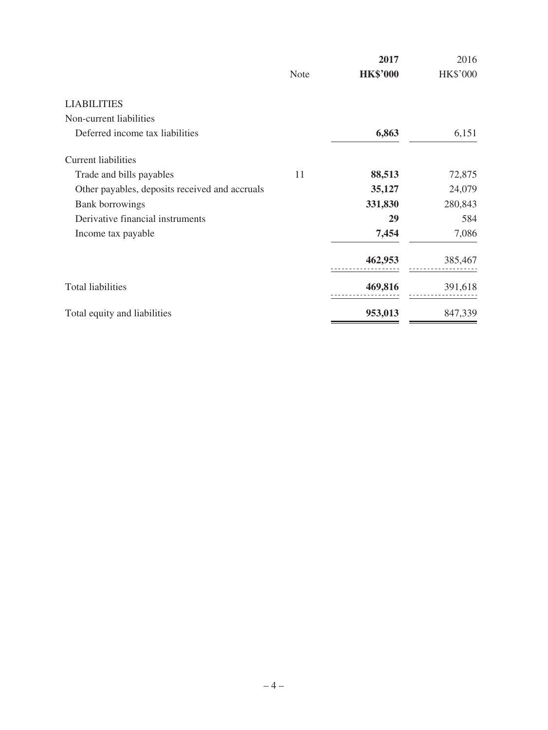|                                                |      | 2017            | 2016            |
|------------------------------------------------|------|-----------------|-----------------|
|                                                | Note | <b>HK\$'000</b> | <b>HK\$'000</b> |
| <b>LIABILITIES</b>                             |      |                 |                 |
| Non-current liabilities                        |      |                 |                 |
| Deferred income tax liabilities                |      | 6,863           | 6,151           |
| <b>Current liabilities</b>                     |      |                 |                 |
| Trade and bills payables                       | 11   | 88,513          | 72,875          |
| Other payables, deposits received and accruals |      | 35,127          | 24,079          |
| <b>Bank</b> borrowings                         |      | 331,830         | 280,843         |
| Derivative financial instruments               |      | 29              | 584             |
| Income tax payable                             |      | 7,454           | 7,086           |
|                                                |      | 462,953         | 385,467         |
| <b>Total liabilities</b>                       |      | 469,816         | 391,618         |
| Total equity and liabilities                   |      | 953,013         | 847,339         |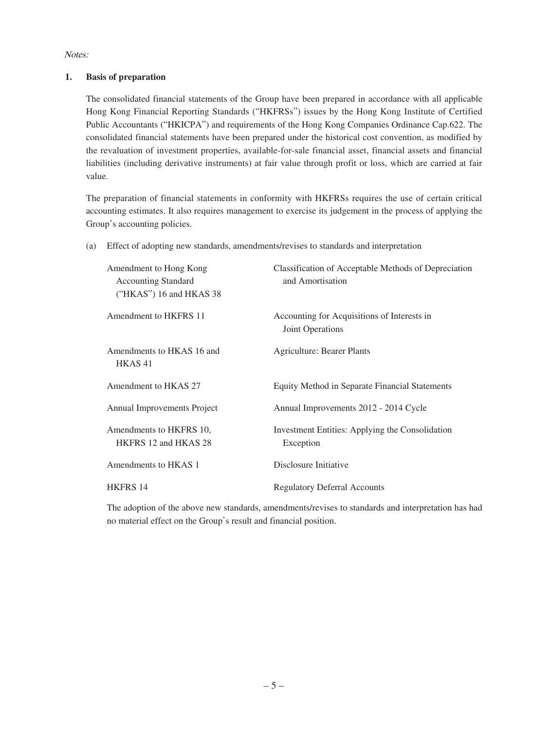Notes:

### **1. Basis of preparation**

The consolidated financial statements of the Group have been prepared in accordance with all applicable Hong Kong Financial Reporting Standards ("HKFRSs") issues by the Hong Kong Institute of Certified Public Accountants ("HKICPA") and requirements of the Hong Kong Companies Ordinance Cap.622. The consolidated financial statements have been prepared under the historical cost convention, as modified by the revaluation of investment properties, available-for-sale financial asset, financial assets and financial liabilities (including derivative instruments) at fair value through profit or loss, which are carried at fair value.

The preparation of financial statements in conformity with HKFRSs requires the use of certain critical accounting estimates. It also requires management to exercise its judgement in the process of applying the Group's accounting policies.

| Amendment to Hong Kong<br><b>Accounting Standard</b><br>("HKAS") 16 and HKAS 38 | Classification of Acceptable Methods of Depreciation<br>and Amortisation |
|---------------------------------------------------------------------------------|--------------------------------------------------------------------------|
| Amendment to HKFRS 11                                                           | Accounting for Acquisitions of Interests in<br>Joint Operations          |
| Amendments to HKAS 16 and<br>HKAS41                                             | Agriculture: Bearer Plants                                               |
| Amendment to HKAS 27                                                            | Equity Method in Separate Financial Statements                           |
| Annual Improvements Project                                                     | Annual Improvements 2012 - 2014 Cycle                                    |
| Amendments to HKFRS 10,<br>HKFRS 12 and HKAS 28                                 | Investment Entities: Applying the Consolidation<br>Exception             |
| Amendments to HKAS 1                                                            | Disclosure Initiative                                                    |
| <b>HKFRS 14</b>                                                                 | <b>Regulatory Deferral Accounts</b>                                      |

(a) Effect of adopting new standards, amendments/revises to standards and interpretation

The adoption of the above new standards, amendments/revises to standards and interpretation has had no material effect on the Group's result and financial position.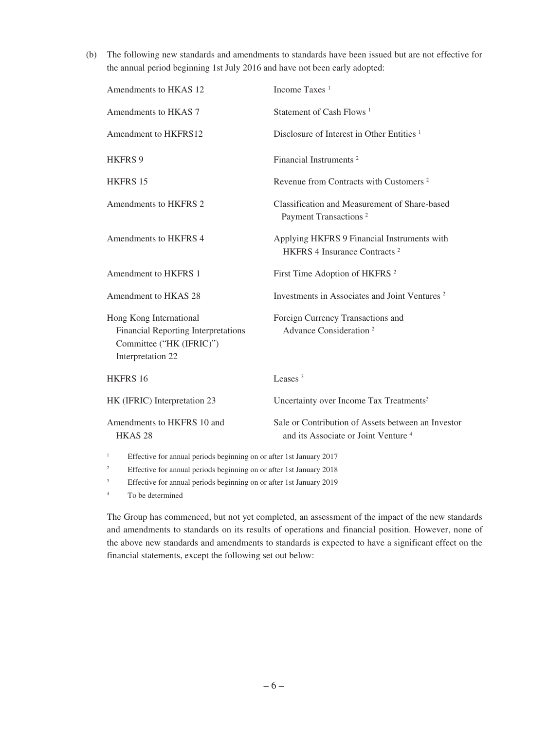(b) The following new standards and amendments to standards have been issued but are not effective for the annual period beginning 1st July 2016 and have not been early adopted:

| Amendments to HKAS 12                                                                                                                                        | Income Taxes <sup>1</sup>                                                                             |
|--------------------------------------------------------------------------------------------------------------------------------------------------------------|-------------------------------------------------------------------------------------------------------|
| Amendments to HKAS 7                                                                                                                                         | Statement of Cash Flows <sup>1</sup>                                                                  |
| Amendment to HKFRS12                                                                                                                                         | Disclosure of Interest in Other Entities <sup>1</sup>                                                 |
| <b>HKFRS 9</b>                                                                                                                                               | Financial Instruments <sup>2</sup>                                                                    |
| <b>HKFRS 15</b>                                                                                                                                              | Revenue from Contracts with Customers <sup>2</sup>                                                    |
| Amendments to HKFRS 2                                                                                                                                        | Classification and Measurement of Share-based<br>Payment Transactions <sup>2</sup>                    |
| Amendments to HKFRS 4                                                                                                                                        | Applying HKFRS 9 Financial Instruments with<br>HKFRS 4 Insurance Contracts <sup>2</sup>               |
| Amendment to HKFRS 1                                                                                                                                         | First Time Adoption of HKFRS <sup>2</sup>                                                             |
| Amendment to HKAS 28                                                                                                                                         | Investments in Associates and Joint Ventures <sup>2</sup>                                             |
| Hong Kong International<br><b>Financial Reporting Interpretations</b><br>Committee ("HK (IFRIC)")<br>Interpretation 22                                       | Foreign Currency Transactions and<br>Advance Consideration <sup>2</sup>                               |
| <b>HKFRS 16</b>                                                                                                                                              | Leases <sup>3</sup>                                                                                   |
| HK (IFRIC) Interpretation 23                                                                                                                                 | Uncertainty over Income Tax Treatments <sup>3</sup>                                                   |
| Amendments to HKFRS 10 and<br>HKAS <sub>28</sub>                                                                                                             | Sale or Contribution of Assets between an Investor<br>and its Associate or Joint Venture <sup>4</sup> |
| $1\,$<br>Effective for annual periods beginning on or after 1st January 2017<br>$\,2$<br>Effective for annual periods beginning on or after 1st January 2018 |                                                                                                       |

<sup>3</sup> Effective for annual periods beginning on or after 1st January 2019

<sup>4</sup> To be determined

The Group has commenced, but not yet completed, an assessment of the impact of the new standards and amendments to standards on its results of operations and financial position. However, none of the above new standards and amendments to standards is expected to have a significant effect on the financial statements, except the following set out below: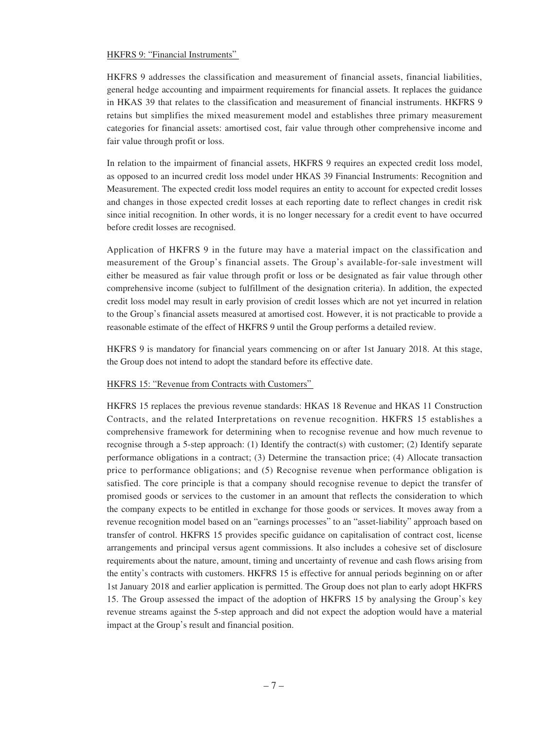#### HKFRS 9: "Financial Instruments"

HKFRS 9 addresses the classification and measurement of financial assets, financial liabilities, general hedge accounting and impairment requirements for financial assets. It replaces the guidance in HKAS 39 that relates to the classification and measurement of financial instruments. HKFRS 9 retains but simplifies the mixed measurement model and establishes three primary measurement categories for financial assets: amortised cost, fair value through other comprehensive income and fair value through profit or loss.

In relation to the impairment of financial assets, HKFRS 9 requires an expected credit loss model, as opposed to an incurred credit loss model under HKAS 39 Financial Instruments: Recognition and Measurement. The expected credit loss model requires an entity to account for expected credit losses and changes in those expected credit losses at each reporting date to reflect changes in credit risk since initial recognition. In other words, it is no longer necessary for a credit event to have occurred before credit losses are recognised.

Application of HKFRS 9 in the future may have a material impact on the classification and measurement of the Group's financial assets. The Group's available-for-sale investment will either be measured as fair value through profit or loss or be designated as fair value through other comprehensive income (subject to fulfillment of the designation criteria). In addition, the expected credit loss model may result in early provision of credit losses which are not yet incurred in relation to the Group's financial assets measured at amortised cost. However, it is not practicable to provide a reasonable estimate of the effect of HKFRS 9 until the Group performs a detailed review.

HKFRS 9 is mandatory for financial years commencing on or after 1st January 2018. At this stage, the Group does not intend to adopt the standard before its effective date.

### HKFRS 15: "Revenue from Contracts with Customers"

HKFRS 15 replaces the previous revenue standards: HKAS 18 Revenue and HKAS 11 Construction Contracts, and the related Interpretations on revenue recognition. HKFRS 15 establishes a comprehensive framework for determining when to recognise revenue and how much revenue to recognise through a 5-step approach: (1) Identify the contract(s) with customer; (2) Identify separate performance obligations in a contract; (3) Determine the transaction price; (4) Allocate transaction price to performance obligations; and (5) Recognise revenue when performance obligation is satisfied. The core principle is that a company should recognise revenue to depict the transfer of promised goods or services to the customer in an amount that reflects the consideration to which the company expects to be entitled in exchange for those goods or services. It moves away from a revenue recognition model based on an "earnings processes" to an "asset-liability" approach based on transfer of control. HKFRS 15 provides specific guidance on capitalisation of contract cost, license arrangements and principal versus agent commissions. It also includes a cohesive set of disclosure requirements about the nature, amount, timing and uncertainty of revenue and cash flows arising from the entity's contracts with customers. HKFRS 15 is effective for annual periods beginning on or after 1st January 2018 and earlier application is permitted. The Group does not plan to early adopt HKFRS 15. The Group assessed the impact of the adoption of HKFRS 15 by analysing the Group's key revenue streams against the 5-step approach and did not expect the adoption would have a material impact at the Group's result and financial position.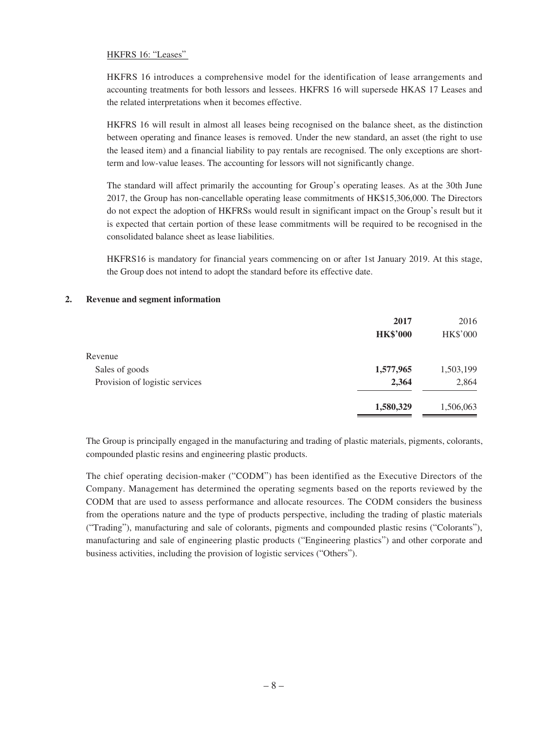### HKFRS 16: "Leases"

HKFRS 16 introduces a comprehensive model for the identification of lease arrangements and accounting treatments for both lessors and lessees. HKFRS 16 will supersede HKAS 17 Leases and the related interpretations when it becomes effective.

HKFRS 16 will result in almost all leases being recognised on the balance sheet, as the distinction between operating and finance leases is removed. Under the new standard, an asset (the right to use the leased item) and a financial liability to pay rentals are recognised. The only exceptions are shortterm and low-value leases. The accounting for lessors will not significantly change.

The standard will affect primarily the accounting for Group's operating leases. As at the 30th June 2017, the Group has non-cancellable operating lease commitments of HK\$15,306,000. The Directors do not expect the adoption of HKFRSs would result in significant impact on the Group's result but it is expected that certain portion of these lease commitments will be required to be recognised in the consolidated balance sheet as lease liabilities.

HKFRS16 is mandatory for financial years commencing on or after 1st January 2019. At this stage, the Group does not intend to adopt the standard before its effective date.

### **2. Revenue and segment information**

|                                | 2017            | 2016            |
|--------------------------------|-----------------|-----------------|
|                                | <b>HK\$'000</b> | <b>HK\$'000</b> |
| Revenue                        |                 |                 |
| Sales of goods                 | 1,577,965       | 1,503,199       |
| Provision of logistic services | 2,364           | 2,864           |
|                                | 1,580,329       | 1,506,063       |

The Group is principally engaged in the manufacturing and trading of plastic materials, pigments, colorants, compounded plastic resins and engineering plastic products.

The chief operating decision-maker ("CODM") has been identified as the Executive Directors of the Company. Management has determined the operating segments based on the reports reviewed by the CODM that are used to assess performance and allocate resources. The CODM considers the business from the operations nature and the type of products perspective, including the trading of plastic materials ("Trading"), manufacturing and sale of colorants, pigments and compounded plastic resins ("Colorants"), manufacturing and sale of engineering plastic products ("Engineering plastics") and other corporate and business activities, including the provision of logistic services ("Others").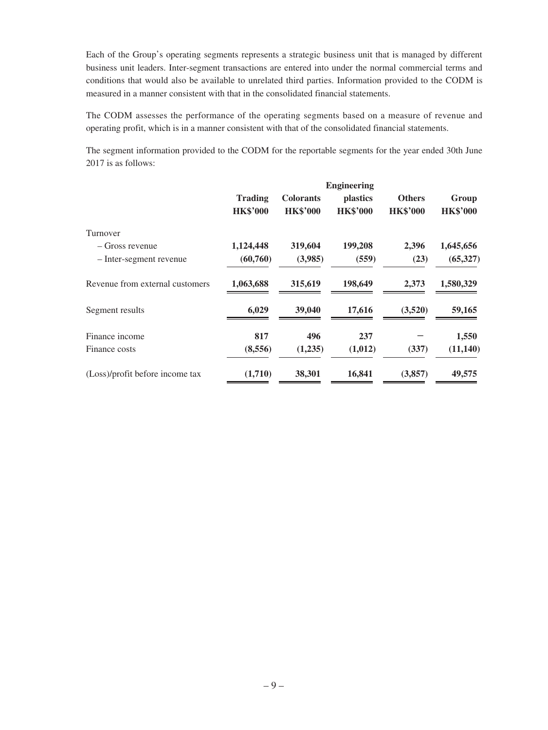Each of the Group's operating segments represents a strategic business unit that is managed by different business unit leaders. Inter-segment transactions are entered into under the normal commercial terms and conditions that would also be available to unrelated third parties. Information provided to the CODM is measured in a manner consistent with that in the consolidated financial statements.

The CODM assesses the performance of the operating segments based on a measure of revenue and operating profit, which is in a manner consistent with that of the consolidated financial statements.

The segment information provided to the CODM for the reportable segments for the year ended 30th June 2017 is as follows:

|                                 | <b>Engineering</b>                |                                     |                                    |                                  |                          |
|---------------------------------|-----------------------------------|-------------------------------------|------------------------------------|----------------------------------|--------------------------|
|                                 | <b>Trading</b><br><b>HK\$'000</b> | <b>Colorants</b><br><b>HK\$'000</b> | <i>plastics</i><br><b>HK\$'000</b> | <b>Others</b><br><b>HK\$'000</b> | Group<br><b>HK\$'000</b> |
| Turnover                        |                                   |                                     |                                    |                                  |                          |
| – Gross revenue                 | 1,124,448                         | 319,604                             | 199,208                            | 2,396                            | 1,645,656                |
| - Inter-segment revenue         | (60,760)                          | (3,985)                             | (559)                              | (23)                             | (65, 327)                |
| Revenue from external customers | 1,063,688                         | 315,619                             | 198,649                            | 2,373                            | 1,580,329                |
| Segment results                 | 6,029                             | 39,040                              | 17,616                             | (3,520)                          | 59,165                   |
| Finance income                  | 817                               | 496                                 | 237                                |                                  | 1,550                    |
| Finance costs                   | (8,556)                           | (1,235)                             | (1,012)                            | (337)                            | (11, 140)                |
| (Loss)/profit before income tax | (1,710)                           | 38,301                              | 16,841                             | (3,857)                          | 49,575                   |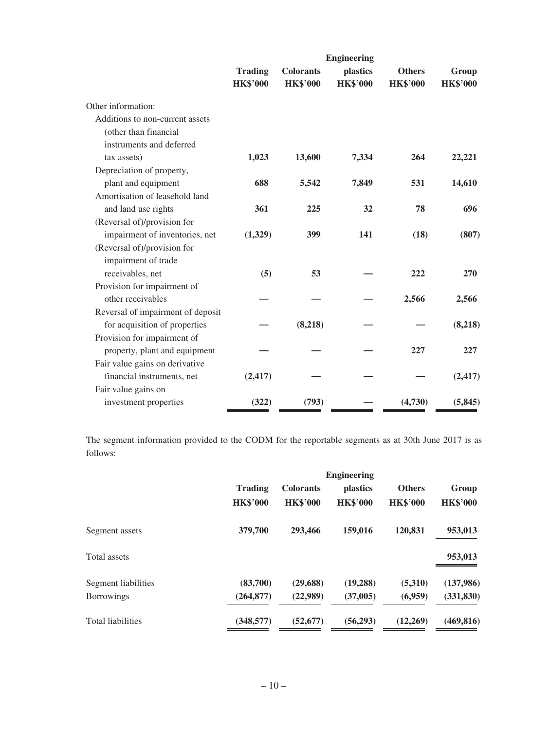|                                   | <b>Engineering</b>                |                                     |                             |                                  |                          |  |
|-----------------------------------|-----------------------------------|-------------------------------------|-----------------------------|----------------------------------|--------------------------|--|
|                                   | <b>Trading</b><br><b>HK\$'000</b> | <b>Colorants</b><br><b>HK\$'000</b> | plastics<br><b>HK\$'000</b> | <b>Others</b><br><b>HK\$'000</b> | Group<br><b>HK\$'000</b> |  |
| Other information:                |                                   |                                     |                             |                                  |                          |  |
| Additions to non-current assets   |                                   |                                     |                             |                                  |                          |  |
| (other than financial             |                                   |                                     |                             |                                  |                          |  |
| instruments and deferred          |                                   |                                     |                             |                                  |                          |  |
| tax assets)                       | 1,023                             | 13,600                              | 7,334                       | 264                              | 22,221                   |  |
| Depreciation of property,         |                                   |                                     |                             |                                  |                          |  |
| plant and equipment               | 688                               | 5,542                               | 7,849                       | 531                              | 14,610                   |  |
| Amortisation of leasehold land    |                                   |                                     |                             |                                  |                          |  |
| and land use rights               | 361                               | 225                                 | 32                          | 78                               | 696                      |  |
| (Reversal of)/provision for       |                                   |                                     |                             |                                  |                          |  |
| impairment of inventories, net    | (1,329)                           | 399                                 | 141                         | (18)                             | (807)                    |  |
| (Reversal of)/provision for       |                                   |                                     |                             |                                  |                          |  |
| impairment of trade               |                                   |                                     |                             |                                  |                          |  |
| receivables, net                  | (5)                               | 53                                  |                             | 222                              | 270                      |  |
| Provision for impairment of       |                                   |                                     |                             |                                  |                          |  |
| other receivables                 |                                   |                                     |                             | 2,566                            | 2,566                    |  |
| Reversal of impairment of deposit |                                   |                                     |                             |                                  |                          |  |
| for acquisition of properties     |                                   | (8,218)                             |                             |                                  | (8,218)                  |  |
| Provision for impairment of       |                                   |                                     |                             |                                  |                          |  |
| property, plant and equipment     |                                   |                                     |                             | 227                              | 227                      |  |
| Fair value gains on derivative    |                                   |                                     |                             |                                  |                          |  |
| financial instruments, net        | (2, 417)                          |                                     |                             |                                  | (2, 417)                 |  |
| Fair value gains on               |                                   |                                     |                             |                                  |                          |  |
| investment properties             | (322)                             | (793)                               |                             | (4,730)                          | (5, 845)                 |  |

The segment information provided to the CODM for the reportable segments as at 30th June 2017 is as follows:

|                          |                                   |                                     | <b>Engineering</b>                 |                                  |                          |
|--------------------------|-----------------------------------|-------------------------------------|------------------------------------|----------------------------------|--------------------------|
|                          | <b>Trading</b><br><b>HK\$'000</b> | <b>Colorants</b><br><b>HK\$'000</b> | <i>plastics</i><br><b>HK\$'000</b> | <b>Others</b><br><b>HK\$'000</b> | Group<br><b>HK\$'000</b> |
| Segment assets           | 379,700                           | 293,466                             | 159,016                            | 120,831                          | 953,013                  |
| Total assets             |                                   |                                     |                                    |                                  | 953,013                  |
| Segment liabilities      | (83,700)                          | (29, 688)                           | (19, 288)                          | (5,310)                          | (137,986)                |
| <b>Borrowings</b>        | (264, 877)                        | (22,989)                            | (37,005)                           | (6,959)                          | (331, 830)               |
| <b>Total liabilities</b> | (348, 577)                        | (52, 677)                           | (56, 293)                          | (12,269)                         | (469, 816)               |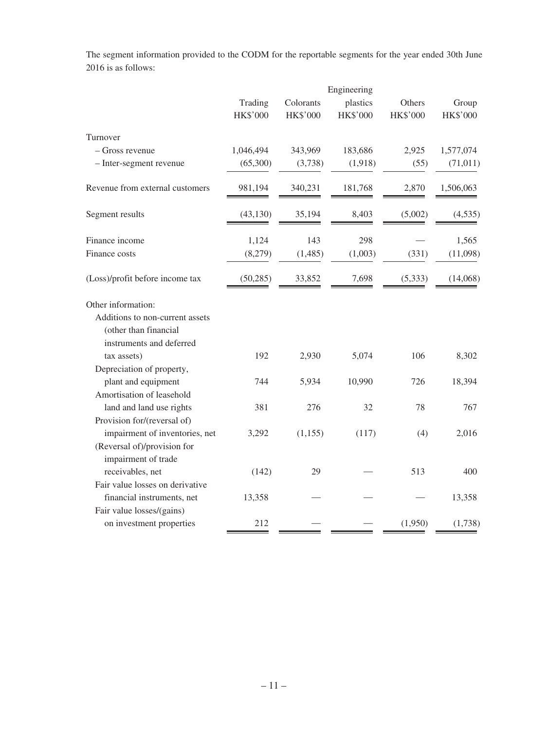The segment information provided to the CODM for the reportable segments for the year ended 30th June 2016 is as follows:

|                                 |           |           | Engineering |                 |           |
|---------------------------------|-----------|-----------|-------------|-----------------|-----------|
|                                 | Trading   | Colorants | plastics    | Others          | Group     |
|                                 | HK\$'000  | HK\$'000  | HK\$'000    | <b>HK\$'000</b> | HK\$'000  |
| Turnover                        |           |           |             |                 |           |
| - Gross revenue                 | 1,046,494 | 343,969   | 183,686     | 2,925           | 1,577,074 |
| - Inter-segment revenue         | (65,300)  | (3,738)   | (1,918)     | (55)            | (71, 011) |
| Revenue from external customers | 981,194   | 340,231   | 181,768     | 2,870           | 1,506,063 |
| Segment results                 | (43, 130) | 35,194    | 8,403       | (5,002)         | (4, 535)  |
| Finance income                  | 1,124     | 143       | 298         |                 | 1,565     |
| Finance costs                   | (8,279)   | (1,485)   | (1,003)     | (331)           | (11,098)  |
| (Loss)/profit before income tax | (50, 285) | 33,852    | 7,698       | (5, 333)        | (14,068)  |
| Other information:              |           |           |             |                 |           |
| Additions to non-current assets |           |           |             |                 |           |
| (other than financial           |           |           |             |                 |           |
| instruments and deferred        |           |           |             |                 |           |
| tax assets)                     | 192       | 2,930     | 5,074       | 106             | 8,302     |
| Depreciation of property,       |           |           |             |                 |           |
| plant and equipment             | 744       | 5,934     | 10,990      | 726             | 18,394    |
| Amortisation of leasehold       |           |           |             |                 |           |
| land and land use rights        | 381       | 276       | 32          | 78              | 767       |
| Provision for/(reversal of)     |           |           |             |                 |           |
| impairment of inventories, net  | 3,292     | (1, 155)  | (117)       | (4)             | 2,016     |
| (Reversal of)/provision for     |           |           |             |                 |           |
| impairment of trade             |           |           |             |                 |           |
| receivables, net                | (142)     | 29        |             | 513             | 400       |
| Fair value losses on derivative |           |           |             |                 |           |
| financial instruments, net      | 13,358    |           |             |                 | 13,358    |
| Fair value losses/(gains)       |           |           |             |                 |           |
| on investment properties        | 212       |           |             | (1,950)         | (1,738)   |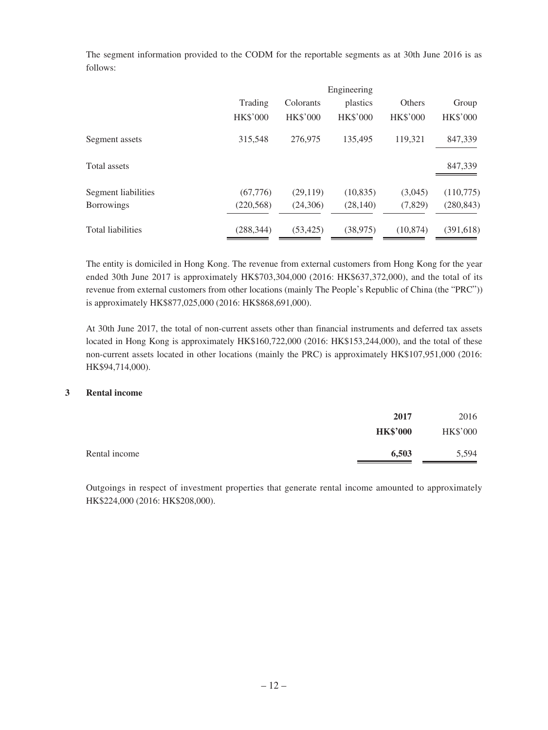The segment information provided to the CODM for the reportable segments as at 30th June 2016 is as follows:

| Trading         | Colorants       | plastics        | Others          | Group           |
|-----------------|-----------------|-----------------|-----------------|-----------------|
| <b>HK\$'000</b> | <b>HK\$'000</b> | <b>HK\$'000</b> | <b>HK\$'000</b> | <b>HK\$'000</b> |
| 315,548         | 276,975         | 135,495         | 119,321         | 847,339         |
|                 |                 |                 |                 | 847,339         |
| (67,776)        | (29,119)        | (10, 835)       | (3,045)         | (110,775)       |
| (220, 568)      | (24,306)        | (28, 140)       | (7,829)         | (280, 843)      |
| (288, 344)      | (53, 425)       | (38, 975)       | (10, 874)       | (391, 618)      |
|                 |                 |                 | Engineering     |                 |

The entity is domiciled in Hong Kong. The revenue from external customers from Hong Kong for the year ended 30th June 2017 is approximately HK\$703,304,000 (2016: HK\$637,372,000), and the total of its revenue from external customers from other locations (mainly The People's Republic of China (the "PRC")) is approximately HK\$877,025,000 (2016: HK\$868,691,000).

At 30th June 2017, the total of non-current assets other than financial instruments and deferred tax assets located in Hong Kong is approximately HK\$160,722,000 (2016: HK\$153,244,000), and the total of these non-current assets located in other locations (mainly the PRC) is approximately HK\$107,951,000 (2016: HK\$94,714,000).

### **3 Rental income**

|               | 2017            | 2016            |
|---------------|-----------------|-----------------|
|               | <b>HK\$'000</b> | <b>HK\$'000</b> |
| Rental income | 6,503           | 5,594           |

Outgoings in respect of investment properties that generate rental income amounted to approximately HK\$224,000 (2016: HK\$208,000).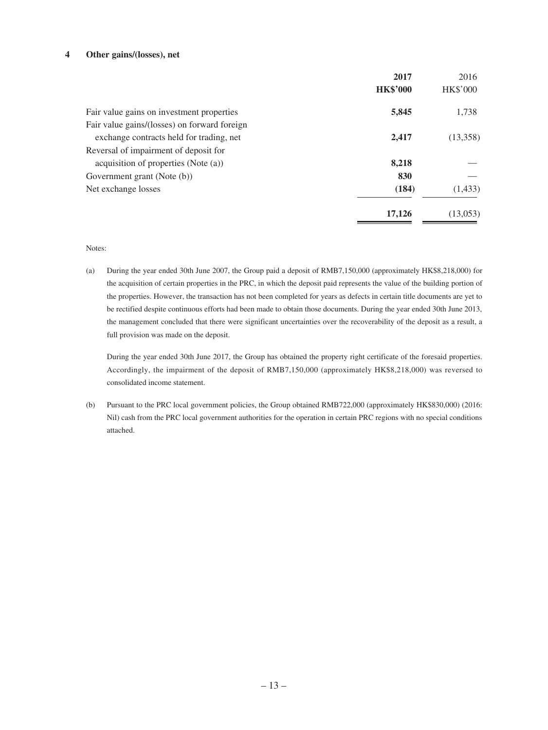#### **4 Other gains/(losses), net**

|                                              | 2017            | 2016            |
|----------------------------------------------|-----------------|-----------------|
|                                              | <b>HK\$'000</b> | <b>HK\$'000</b> |
| Fair value gains on investment properties    | 5,845           | 1,738           |
| Fair value gains/(losses) on forward foreign |                 |                 |
| exchange contracts held for trading, net     | 2,417           | (13,358)        |
| Reversal of impairment of deposit for        |                 |                 |
| acquisition of properties $(Note (a))$       | 8,218           |                 |
| Government grant (Note (b))                  | 830             |                 |
| Net exchange losses                          | (184)           | (1,433)         |
|                                              | 17,126          | (13,053)        |

#### Notes:

(a) During the year ended 30th June 2007, the Group paid a deposit of RMB7,150,000 (approximately HK\$8,218,000) for the acquisition of certain properties in the PRC, in which the deposit paid represents the value of the building portion of the properties. However, the transaction has not been completed for years as defects in certain title documents are yet to be rectified despite continuous efforts had been made to obtain those documents. During the year ended 30th June 2013, the management concluded that there were significant uncertainties over the recoverability of the deposit as a result, a full provision was made on the deposit.

During the year ended 30th June 2017, the Group has obtained the property right certificate of the foresaid properties. Accordingly, the impairment of the deposit of RMB7,150,000 (approximately HK\$8,218,000) was reversed to consolidated income statement.

(b) Pursuant to the PRC local government policies, the Group obtained RMB722,000 (approximately HK\$830,000) (2016: Nil) cash from the PRC local government authorities for the operation in certain PRC regions with no special conditions attached.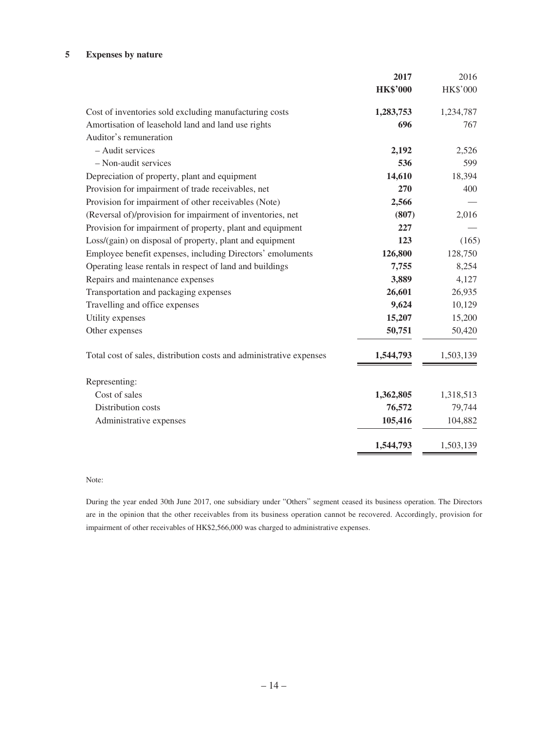### **5 Expenses by nature**

|                                                                     | 2017            | 2016      |
|---------------------------------------------------------------------|-----------------|-----------|
|                                                                     | <b>HK\$'000</b> | HK\$'000  |
| Cost of inventories sold excluding manufacturing costs              | 1,283,753       | 1,234,787 |
| Amortisation of leasehold land and land use rights                  | 696             | 767       |
| Auditor's remuneration                                              |                 |           |
| - Audit services                                                    | 2,192           | 2,526     |
| - Non-audit services                                                | 536             | 599       |
| Depreciation of property, plant and equipment                       | 14,610          | 18,394    |
| Provision for impairment of trade receivables, net                  | 270             | 400       |
| Provision for impairment of other receivables (Note)                | 2,566           |           |
| (Reversal of)/provision for impairment of inventories, net          | (807)           | 2,016     |
| Provision for impairment of property, plant and equipment           | 227             |           |
| Loss/(gain) on disposal of property, plant and equipment            | 123             | (165)     |
| Employee benefit expenses, including Directors' emoluments          | 126,800         | 128,750   |
| Operating lease rentals in respect of land and buildings            | 7,755           | 8,254     |
| Repairs and maintenance expenses                                    | 3,889           | 4,127     |
| Transportation and packaging expenses                               | 26,601          | 26,935    |
| Travelling and office expenses                                      | 9,624           | 10,129    |
| Utility expenses                                                    | 15,207          | 15,200    |
| Other expenses                                                      | 50,751          | 50,420    |
| Total cost of sales, distribution costs and administrative expenses | 1,544,793       | 1,503,139 |
| Representing:                                                       |                 |           |
| Cost of sales                                                       | 1,362,805       | 1,318,513 |
| Distribution costs                                                  | 76,572          | 79,744    |
| Administrative expenses                                             | 105,416         | 104,882   |
|                                                                     | 1,544,793       | 1,503,139 |
|                                                                     |                 |           |

#### Note:

During the year ended 30th June 2017, one subsidiary under "Others" segment ceased its business operation. The Directors are in the opinion that the other receivables from its business operation cannot be recovered. Accordingly, provision for impairment of other receivables of HK\$2,566,000 was charged to administrative expenses.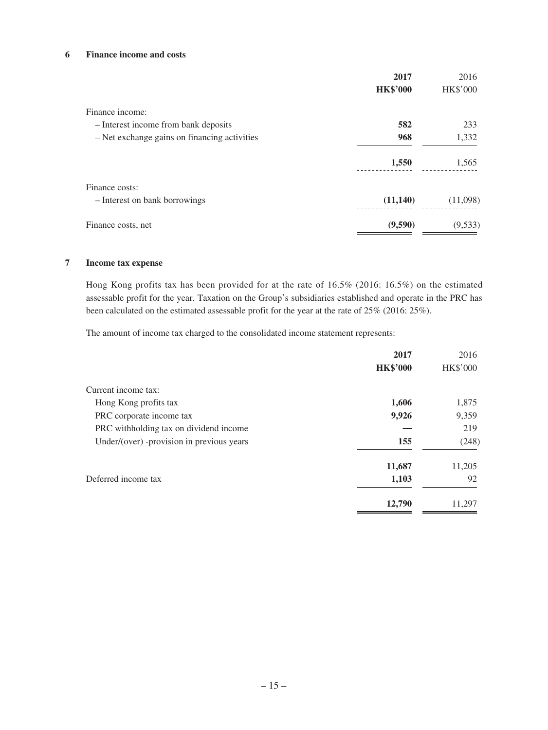### **6 Finance income and costs**

|                                              | 2017            | 2016            |
|----------------------------------------------|-----------------|-----------------|
|                                              | <b>HK\$'000</b> | <b>HK\$'000</b> |
| Finance income:                              |                 |                 |
| - Interest income from bank deposits         | 582             | 233             |
| - Net exchange gains on financing activities | 968             | 1,332           |
|                                              | 1,550           | 1,565           |
| Finance costs:                               |                 |                 |
| - Interest on bank borrowings                | (11,140)        | (11,098)        |
| Finance costs, net                           | (9,590)         | (9,533)         |

#### **7 Income tax expense**

Hong Kong profits tax has been provided for at the rate of 16.5% (2016: 16.5%) on the estimated assessable profit for the year. Taxation on the Group's subsidiaries established and operate in the PRC has been calculated on the estimated assessable profit for the year at the rate of 25% (2016: 25%).

The amount of income tax charged to the consolidated income statement represents:

|                                           | 2017            | 2016            |
|-------------------------------------------|-----------------|-----------------|
|                                           | <b>HK\$'000</b> | <b>HK\$'000</b> |
| Current income tax:                       |                 |                 |
| Hong Kong profits tax                     | 1,606           | 1,875           |
| PRC corporate income tax                  | 9,926           | 9,359           |
| PRC withholding tax on dividend income    |                 | 219             |
| Under/(over) -provision in previous years | 155             | (248)           |
|                                           | 11,687          | 11,205          |
| Deferred income tax                       | 1,103           | 92              |
|                                           | 12,790          | 11,297          |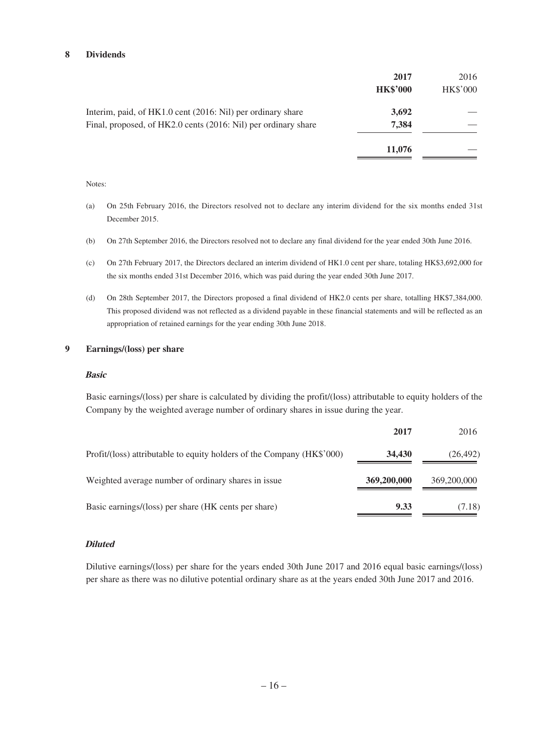#### **8 Dividends**

|                                                                | 2017            | 2016            |
|----------------------------------------------------------------|-----------------|-----------------|
|                                                                | <b>HK\$'000</b> | <b>HK\$'000</b> |
| Interim, paid, of HK1.0 cent (2016: Nil) per ordinary share    | 3,692           |                 |
| Final, proposed, of HK2.0 cents (2016: Nil) per ordinary share | 7,384           |                 |
|                                                                | 11,076          |                 |

#### Notes:

- (a) On 25th February 2016, the Directors resolved not to declare any interim dividend for the six months ended 31st December 2015.
- (b) On 27th September 2016, the Directors resolved not to declare any final dividend for the year ended 30th June 2016.
- (c) On 27th February 2017, the Directors declared an interim dividend of HK1.0 cent per share, totaling HK\$3,692,000 for the six months ended 31st December 2016, which was paid during the year ended 30th June 2017.
- (d) On 28th September 2017, the Directors proposed a final dividend of HK2.0 cents per share, totalling HK\$7,384,000. This proposed dividend was not reflected as a dividend payable in these financial statements and will be reflected as an appropriation of retained earnings for the year ending 30th June 2018.

#### **9 Earnings/(loss) per share**

#### **Basic**

Basic earnings/(loss) per share is calculated by dividing the profit/(loss) attributable to equity holders of the Company by the weighted average number of ordinary shares in issue during the year.

|                                                                        | 2017        | 2016        |
|------------------------------------------------------------------------|-------------|-------------|
| Profit/(loss) attributable to equity holders of the Company (HK\$'000) | 34,430      | (26, 492)   |
| Weighted average number of ordinary shares in issue.                   | 369,200,000 | 369,200,000 |
| Basic earnings/(loss) per share (HK cents per share)                   | 9.33        | (7.18)      |

### **Diluted**

Dilutive earnings/(loss) per share for the years ended 30th June 2017 and 2016 equal basic earnings/(loss) per share as there was no dilutive potential ordinary share as at the years ended 30th June 2017 and 2016.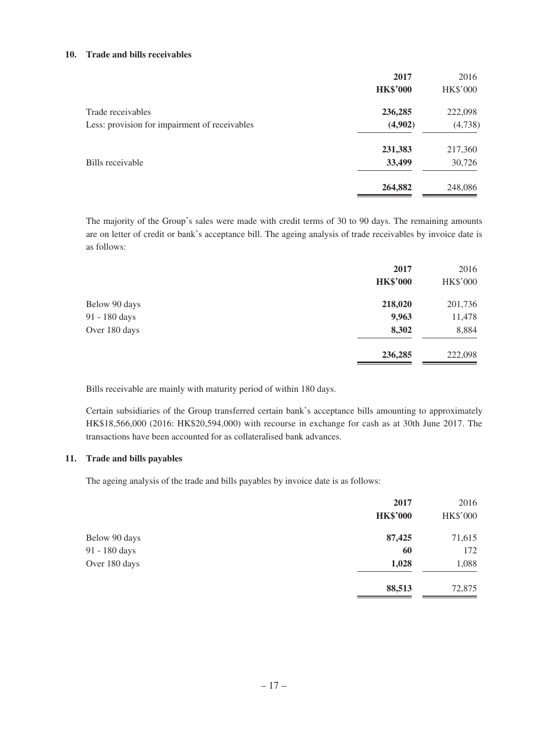### **10. Trade and bills receivables**

|                                               | 2017            | 2016            |
|-----------------------------------------------|-----------------|-----------------|
|                                               | <b>HK\$'000</b> | <b>HK\$'000</b> |
| Trade receivables                             | 236,285         | 222,098         |
| Less: provision for impairment of receivables | (4,902)         | (4,738)         |
|                                               | 231,383         | 217,360         |
| Bills receivable                              | 33,499          | 30,726          |
|                                               | 264,882         | 248,086         |

The majority of the Group's sales were made with credit terms of 30 to 90 days. The remaining amounts are on letter of credit or bank's acceptance bill. The ageing analysis of trade receivables by invoice date is as follows:

|               | 2017<br><b>HK\$'000</b> | 2016<br><b>HK\$'000</b> |
|---------------|-------------------------|-------------------------|
| Below 90 days | 218,020                 | 201,736                 |
| 91 - 180 days | 9,963                   | 11,478                  |
| Over 180 days | 8,302                   | 8,884                   |
|               | 236,285                 | 222,098                 |

Bills receivable are mainly with maturity period of within 180 days.

Certain subsidiaries of the Group transferred certain bank's acceptance bills amounting to approximately HK\$18,566,000 (2016: HK\$20,594,000) with recourse in exchange for cash as at 30th June 2017. The transactions have been accounted for as collateralised bank advances.

### **11. Trade and bills payables**

The ageing analysis of the trade and bills payables by invoice date is as follows:

|               | 2017<br><b>HK\$'000</b> | 2016<br>HK\$'000 |
|---------------|-------------------------|------------------|
| Below 90 days | 87,425                  | 71,615           |
| 91 - 180 days | 60                      | 172              |
| Over 180 days | 1,028                   | 1,088            |
|               | 88,513                  | 72,875           |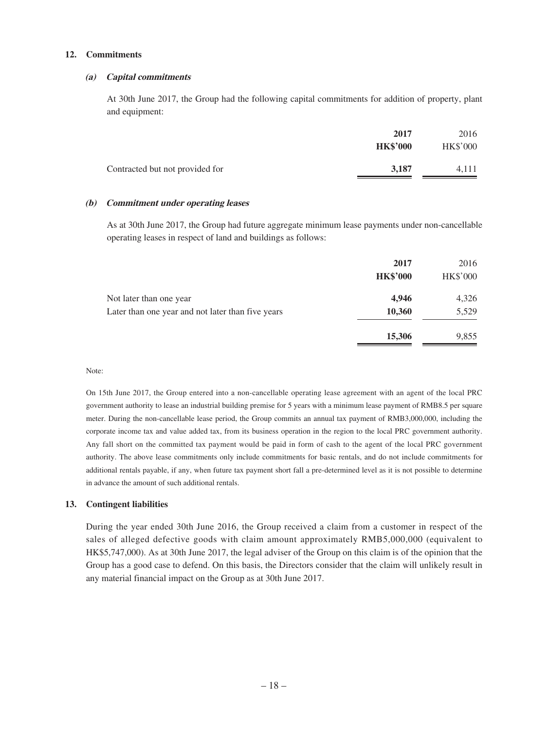#### **12. Commitments**

#### **(a) Capital commitments**

At 30th June 2017, the Group had the following capital commitments for addition of property, plant and equipment:

|                                 | 2017<br><b>HK\$'000</b> | 2016<br><b>HK\$'000</b> |
|---------------------------------|-------------------------|-------------------------|
| Contracted but not provided for | 3.187                   | 4.111                   |

#### **(b) Commitment under operating leases**

As at 30th June 2017, the Group had future aggregate minimum lease payments under non-cancellable operating leases in respect of land and buildings as follows:

|                                                   | 2017            | 2016            |
|---------------------------------------------------|-----------------|-----------------|
|                                                   | <b>HK\$'000</b> | <b>HK\$'000</b> |
| Not later than one year                           | 4,946           | 4,326           |
| Later than one year and not later than five years | 10,360          | 5,529           |
|                                                   | 15,306          | 9,855           |

Note:

On 15th June 2017, the Group entered into a non-cancellable operating lease agreement with an agent of the local PRC government authority to lease an industrial building premise for 5 years with a minimum lease payment of RMB8.5 per square meter. During the non-cancellable lease period, the Group commits an annual tax payment of RMB3,000,000, including the corporate income tax and value added tax, from its business operation in the region to the local PRC government authority. Any fall short on the committed tax payment would be paid in form of cash to the agent of the local PRC government authority. The above lease commitments only include commitments for basic rentals, and do not include commitments for additional rentals payable, if any, when future tax payment short fall a pre-determined level as it is not possible to determine in advance the amount of such additional rentals.

### **13. Contingent liabilities**

During the year ended 30th June 2016, the Group received a claim from a customer in respect of the sales of alleged defective goods with claim amount approximately RMB5,000,000 (equivalent to HK\$5,747,000). As at 30th June 2017, the legal adviser of the Group on this claim is of the opinion that the Group has a good case to defend. On this basis, the Directors consider that the claim will unlikely result in any material financial impact on the Group as at 30th June 2017.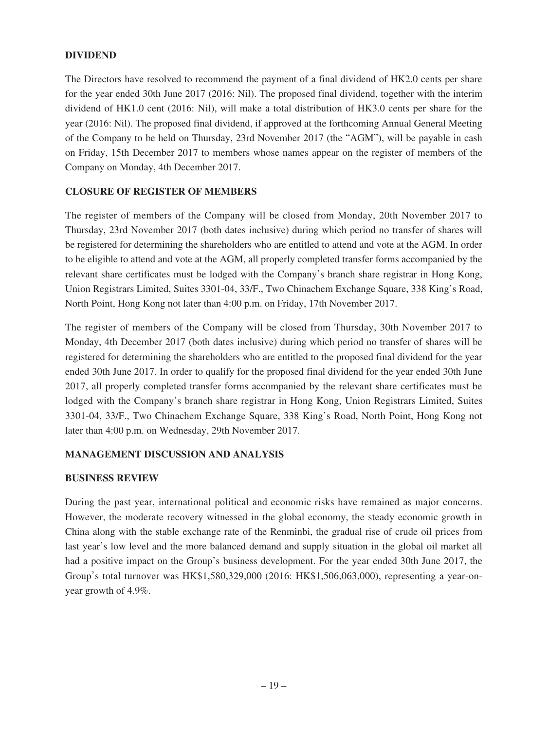## **DIVIDEND**

The Directors have resolved to recommend the payment of a final dividend of HK2.0 cents per share for the year ended 30th June 2017 (2016: Nil). The proposed final dividend, together with the interim dividend of HK1.0 cent (2016: Nil), will make a total distribution of HK3.0 cents per share for the year (2016: Nil). The proposed final dividend, if approved at the forthcoming Annual General Meeting of the Company to be held on Thursday, 23rd November 2017 (the "AGM"), will be payable in cash on Friday, 15th December 2017 to members whose names appear on the register of members of the Company on Monday, 4th December 2017.

# **CLOSURE OF REGISTER OF MEMBERS**

The register of members of the Company will be closed from Monday, 20th November 2017 to Thursday, 23rd November 2017 (both dates inclusive) during which period no transfer of shares will be registered for determining the shareholders who are entitled to attend and vote at the AGM. In order to be eligible to attend and vote at the AGM, all properly completed transfer forms accompanied by the relevant share certificates must be lodged with the Company's branch share registrar in Hong Kong, Union Registrars Limited, Suites 3301-04, 33/F., Two Chinachem Exchange Square, 338 King's Road, North Point, Hong Kong not later than 4:00 p.m. on Friday, 17th November 2017.

The register of members of the Company will be closed from Thursday, 30th November 2017 to Monday, 4th December 2017 (both dates inclusive) during which period no transfer of shares will be registered for determining the shareholders who are entitled to the proposed final dividend for the year ended 30th June 2017. In order to qualify for the proposed final dividend for the year ended 30th June 2017, all properly completed transfer forms accompanied by the relevant share certificates must be lodged with the Company's branch share registrar in Hong Kong, Union Registrars Limited, Suites 3301-04, 33/F., Two Chinachem Exchange Square, 338 King's Road, North Point, Hong Kong not later than 4:00 p.m. on Wednesday, 29th November 2017.

## **MANAGEMENT DISCUSSION AND ANALYSIS**

## **BUSINESS REVIEW**

During the past year, international political and economic risks have remained as major concerns. However, the moderate recovery witnessed in the global economy, the steady economic growth in China along with the stable exchange rate of the Renminbi, the gradual rise of crude oil prices from last year's low level and the more balanced demand and supply situation in the global oil market all had a positive impact on the Group's business development. For the year ended 30th June 2017, the Group's total turnover was HK\$1,580,329,000 (2016: HK\$1,506,063,000), representing a year-onyear growth of 4.9%.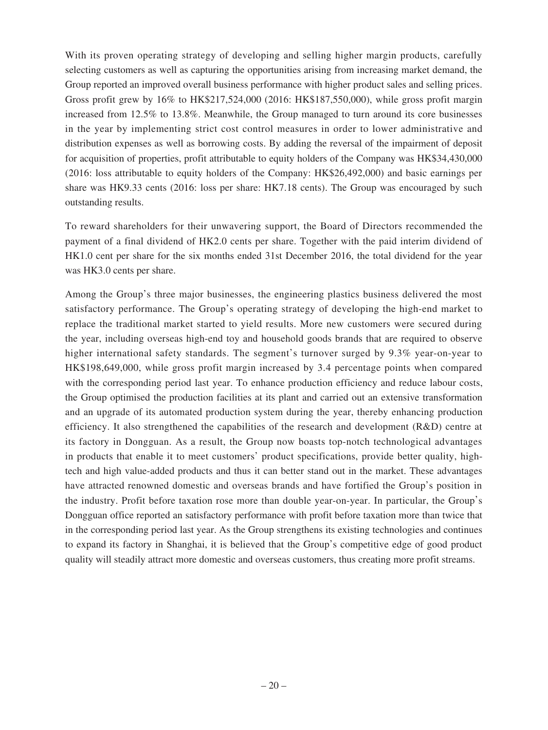With its proven operating strategy of developing and selling higher margin products, carefully selecting customers as well as capturing the opportunities arising from increasing market demand, the Group reported an improved overall business performance with higher product sales and selling prices. Gross profit grew by 16% to HK\$217,524,000 (2016: HK\$187,550,000), while gross profit margin increased from 12.5% to 13.8%. Meanwhile, the Group managed to turn around its core businesses in the year by implementing strict cost control measures in order to lower administrative and distribution expenses as well as borrowing costs. By adding the reversal of the impairment of deposit for acquisition of properties, profit attributable to equity holders of the Company was HK\$34,430,000 (2016: loss attributable to equity holders of the Company: HK\$26,492,000) and basic earnings per share was HK9.33 cents (2016: loss per share: HK7.18 cents). The Group was encouraged by such outstanding results.

To reward shareholders for their unwavering support, the Board of Directors recommended the payment of a final dividend of HK2.0 cents per share. Together with the paid interim dividend of HK1.0 cent per share for the six months ended 31st December 2016, the total dividend for the year was HK3.0 cents per share.

Among the Group's three major businesses, the engineering plastics business delivered the most satisfactory performance. The Group's operating strategy of developing the high-end market to replace the traditional market started to yield results. More new customers were secured during the year, including overseas high-end toy and household goods brands that are required to observe higher international safety standards. The segment's turnover surged by 9.3% year-on-year to HK\$198,649,000, while gross profit margin increased by 3.4 percentage points when compared with the corresponding period last year. To enhance production efficiency and reduce labour costs, the Group optimised the production facilities at its plant and carried out an extensive transformation and an upgrade of its automated production system during the year, thereby enhancing production efficiency. It also strengthened the capabilities of the research and development  $(R&D)$  centre at its factory in Dongguan. As a result, the Group now boasts top-notch technological advantages in products that enable it to meet customers' product specifications, provide better quality, hightech and high value-added products and thus it can better stand out in the market. These advantages have attracted renowned domestic and overseas brands and have fortified the Group's position in the industry. Profit before taxation rose more than double year-on-year. In particular, the Group's Dongguan office reported an satisfactory performance with profit before taxation more than twice that in the corresponding period last year. As the Group strengthens its existing technologies and continues to expand its factory in Shanghai, it is believed that the Group's competitive edge of good product quality will steadily attract more domestic and overseas customers, thus creating more profit streams.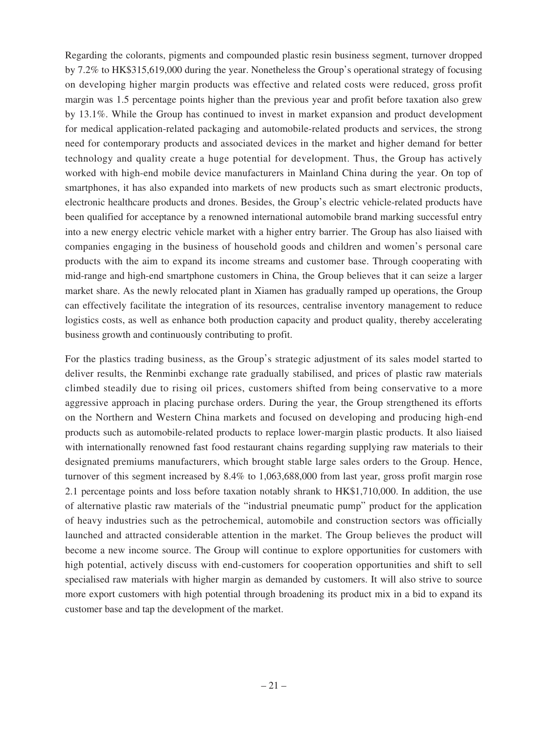Regarding the colorants, pigments and compounded plastic resin business segment, turnover dropped by 7.2% to HK\$315,619,000 during the year. Nonetheless the Group's operational strategy of focusing on developing higher margin products was effective and related costs were reduced, gross profit margin was 1.5 percentage points higher than the previous year and profit before taxation also grew by 13.1%. While the Group has continued to invest in market expansion and product development for medical application-related packaging and automobile-related products and services, the strong need for contemporary products and associated devices in the market and higher demand for better technology and quality create a huge potential for development. Thus, the Group has actively worked with high-end mobile device manufacturers in Mainland China during the year. On top of smartphones, it has also expanded into markets of new products such as smart electronic products, electronic healthcare products and drones. Besides, the Group's electric vehicle-related products have been qualified for acceptance by a renowned international automobile brand marking successful entry into a new energy electric vehicle market with a higher entry barrier. The Group has also liaised with companies engaging in the business of household goods and children and women's personal care products with the aim to expand its income streams and customer base. Through cooperating with mid-range and high-end smartphone customers in China, the Group believes that it can seize a larger market share. As the newly relocated plant in Xiamen has gradually ramped up operations, the Group can effectively facilitate the integration of its resources, centralise inventory management to reduce logistics costs, as well as enhance both production capacity and product quality, thereby accelerating business growth and continuously contributing to profit.

For the plastics trading business, as the Group's strategic adjustment of its sales model started to deliver results, the Renminbi exchange rate gradually stabilised, and prices of plastic raw materials climbed steadily due to rising oil prices, customers shifted from being conservative to a more aggressive approach in placing purchase orders. During the year, the Group strengthened its efforts on the Northern and Western China markets and focused on developing and producing high-end products such as automobile-related products to replace lower-margin plastic products. It also liaised with internationally renowned fast food restaurant chains regarding supplying raw materials to their designated premiums manufacturers, which brought stable large sales orders to the Group. Hence, turnover of this segment increased by 8.4% to 1,063,688,000 from last year, gross profit margin rose 2.1 percentage points and loss before taxation notably shrank to HK\$1,710,000. In addition, the use of alternative plastic raw materials of the "industrial pneumatic pump" product for the application of heavy industries such as the petrochemical, automobile and construction sectors was officially launched and attracted considerable attention in the market. The Group believes the product will become a new income source. The Group will continue to explore opportunities for customers with high potential, actively discuss with end-customers for cooperation opportunities and shift to sell specialised raw materials with higher margin as demanded by customers. It will also strive to source more export customers with high potential through broadening its product mix in a bid to expand its customer base and tap the development of the market.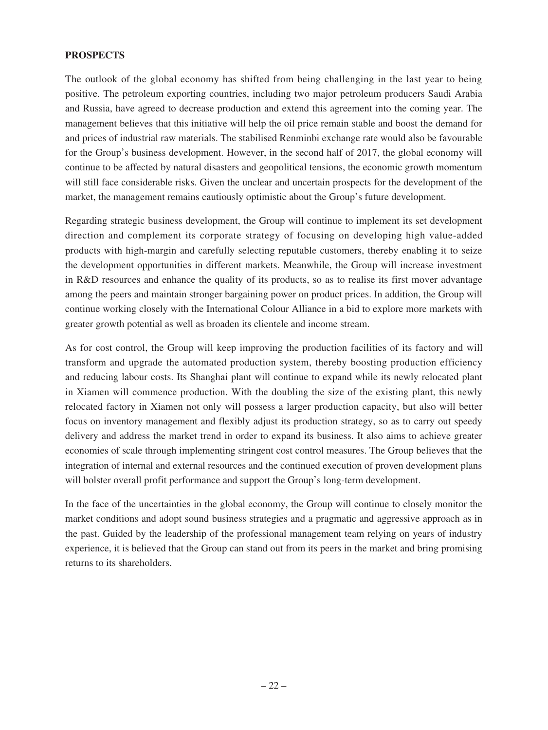## **PROSPECTS**

The outlook of the global economy has shifted from being challenging in the last year to being positive. The petroleum exporting countries, including two major petroleum producers Saudi Arabia and Russia, have agreed to decrease production and extend this agreement into the coming year. The management believes that this initiative will help the oil price remain stable and boost the demand for and prices of industrial raw materials. The stabilised Renminbi exchange rate would also be favourable for the Group's business development. However, in the second half of 2017, the global economy will continue to be affected by natural disasters and geopolitical tensions, the economic growth momentum will still face considerable risks. Given the unclear and uncertain prospects for the development of the market, the management remains cautiously optimistic about the Group's future development.

Regarding strategic business development, the Group will continue to implement its set development direction and complement its corporate strategy of focusing on developing high value-added products with high-margin and carefully selecting reputable customers, thereby enabling it to seize the development opportunities in different markets. Meanwhile, the Group will increase investment in R&D resources and enhance the quality of its products, so as to realise its first mover advantage among the peers and maintain stronger bargaining power on product prices. In addition, the Group will continue working closely with the International Colour Alliance in a bid to explore more markets with greater growth potential as well as broaden its clientele and income stream.

As for cost control, the Group will keep improving the production facilities of its factory and will transform and upgrade the automated production system, thereby boosting production efficiency and reducing labour costs. Its Shanghai plant will continue to expand while its newly relocated plant in Xiamen will commence production. With the doubling the size of the existing plant, this newly relocated factory in Xiamen not only will possess a larger production capacity, but also will better focus on inventory management and flexibly adjust its production strategy, so as to carry out speedy delivery and address the market trend in order to expand its business. It also aims to achieve greater economies of scale through implementing stringent cost control measures. The Group believes that the integration of internal and external resources and the continued execution of proven development plans will bolster overall profit performance and support the Group's long-term development.

In the face of the uncertainties in the global economy, the Group will continue to closely monitor the market conditions and adopt sound business strategies and a pragmatic and aggressive approach as in the past. Guided by the leadership of the professional management team relying on years of industry experience, it is believed that the Group can stand out from its peers in the market and bring promising returns to its shareholders.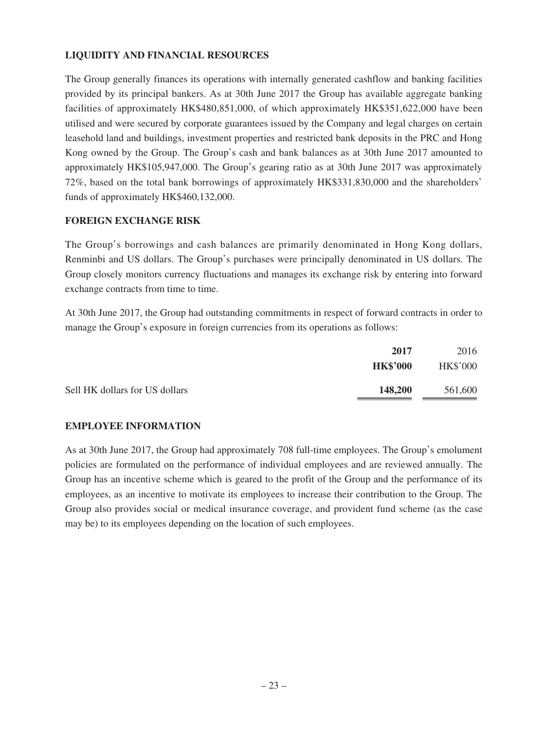# **LIQUIDITY AND FINANCIAL RESOURCES**

The Group generally finances its operations with internally generated cashflow and banking facilities provided by its principal bankers. As at 30th June 2017 the Group has available aggregate banking facilities of approximately HK\$480,851,000, of which approximately HK\$351,622,000 have been utilised and were secured by corporate guarantees issued by the Company and legal charges on certain leasehold land and buildings, investment properties and restricted bank deposits in the PRC and Hong Kong owned by the Group. The Group's cash and bank balances as at 30th June 2017 amounted to approximately HK\$105,947,000. The Group's gearing ratio as at 30th June 2017 was approximately 72%, based on the total bank borrowings of approximately HK\$331,830,000 and the shareholders' funds of approximately HK\$460,132,000.

## **FOREIGN EXCHANGE RISK**

The Group's borrowings and cash balances are primarily denominated in Hong Kong dollars, Renminbi and US dollars. The Group's purchases were principally denominated in US dollars. The Group closely monitors currency fluctuations and manages its exchange risk by entering into forward exchange contracts from time to time.

At 30th June 2017, the Group had outstanding commitments in respect of forward contracts in order to manage the Group's exposure in foreign currencies from its operations as follows:

| 2017                                      | 2016            |
|-------------------------------------------|-----------------|
| <b>HK\$'000</b>                           | <b>HK\$'000</b> |
| Sell HK dollars for US dollars<br>148,200 | 561,600         |

## **EMPLOYEE INFORMATION**

As at 30th June 2017, the Group had approximately 708 full-time employees. The Group's emolument policies are formulated on the performance of individual employees and are reviewed annually. The Group has an incentive scheme which is geared to the profit of the Group and the performance of its employees, as an incentive to motivate its employees to increase their contribution to the Group. The Group also provides social or medical insurance coverage, and provident fund scheme (as the case may be) to its employees depending on the location of such employees.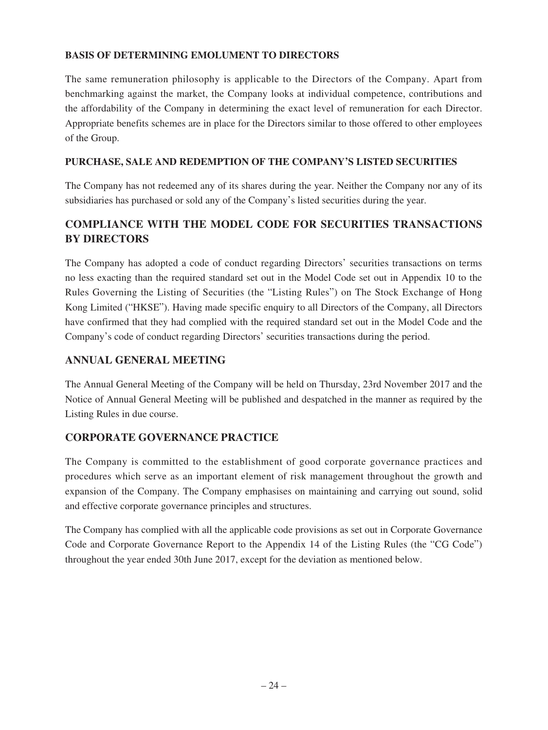# **BASIS OF DETERMINING EMOLUMENT TO DIRECTORS**

The same remuneration philosophy is applicable to the Directors of the Company. Apart from benchmarking against the market, the Company looks at individual competence, contributions and the affordability of the Company in determining the exact level of remuneration for each Director. Appropriate benefits schemes are in place for the Directors similar to those offered to other employees of the Group.

# **PURCHASE, SALE AND REDEMPTION OF THE COMPANY'S LISTED SECURITIES**

The Company has not redeemed any of its shares during the year. Neither the Company nor any of its subsidiaries has purchased or sold any of the Company's listed securities during the year.

# **COMPLIANCE WITH THE MODEL CODE FOR SECURITIES TRANSACTIONS BY DIRECTORS**

The Company has adopted a code of conduct regarding Directors' securities transactions on terms no less exacting than the required standard set out in the Model Code set out in Appendix 10 to the Rules Governing the Listing of Securities (the "Listing Rules") on The Stock Exchange of Hong Kong Limited ("HKSE"). Having made specific enquiry to all Directors of the Company, all Directors have confirmed that they had complied with the required standard set out in the Model Code and the Company's code of conduct regarding Directors' securities transactions during the period.

# **ANNUAL GENERAL MEETING**

The Annual General Meeting of the Company will be held on Thursday, 23rd November 2017 and the Notice of Annual General Meeting will be published and despatched in the manner as required by the Listing Rules in due course.

# **CORPORATE GOVERNANCE PRACTICE**

The Company is committed to the establishment of good corporate governance practices and procedures which serve as an important element of risk management throughout the growth and expansion of the Company. The Company emphasises on maintaining and carrying out sound, solid and effective corporate governance principles and structures.

The Company has complied with all the applicable code provisions as set out in Corporate Governance Code and Corporate Governance Report to the Appendix 14 of the Listing Rules (the "CG Code") throughout the year ended 30th June 2017, except for the deviation as mentioned below.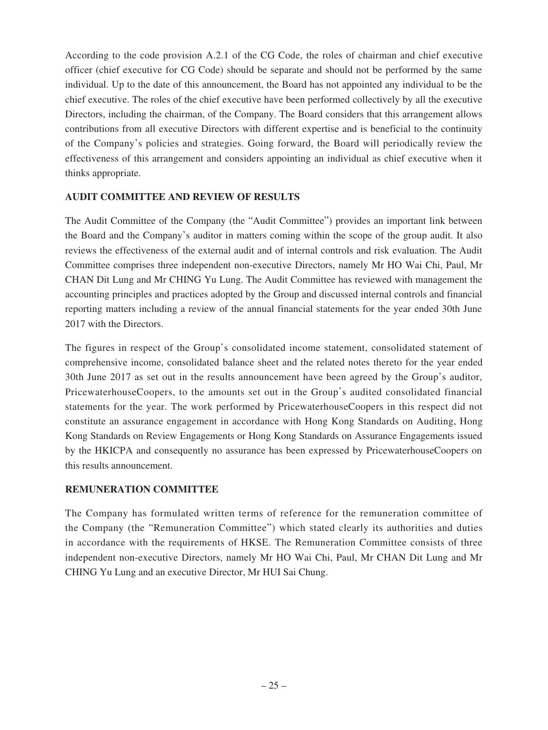According to the code provision A.2.1 of the CG Code, the roles of chairman and chief executive officer (chief executive for CG Code) should be separate and should not be performed by the same individual. Up to the date of this announcement, the Board has not appointed any individual to be the chief executive. The roles of the chief executive have been performed collectively by all the executive Directors, including the chairman, of the Company. The Board considers that this arrangement allows contributions from all executive Directors with different expertise and is beneficial to the continuity of the Company's policies and strategies. Going forward, the Board will periodically review the effectiveness of this arrangement and considers appointing an individual as chief executive when it thinks appropriate.

## **AUDIT COMMITTEE AND REVIEW OF RESULTS**

The Audit Committee of the Company (the "Audit Committee") provides an important link between the Board and the Company's auditor in matters coming within the scope of the group audit. It also reviews the effectiveness of the external audit and of internal controls and risk evaluation. The Audit Committee comprises three independent non-executive Directors, namely Mr HO Wai Chi, Paul, Mr CHAN Dit Lung and Mr CHING Yu Lung. The Audit Committee has reviewed with management the accounting principles and practices adopted by the Group and discussed internal controls and financial reporting matters including a review of the annual financial statements for the year ended 30th June 2017 with the Directors.

The figures in respect of the Group's consolidated income statement, consolidated statement of comprehensive income, consolidated balance sheet and the related notes thereto for the year ended 30th June 2017 as set out in the results announcement have been agreed by the Group's auditor, PricewaterhouseCoopers, to the amounts set out in the Group's audited consolidated financial statements for the year. The work performed by PricewaterhouseCoopers in this respect did not constitute an assurance engagement in accordance with Hong Kong Standards on Auditing, Hong Kong Standards on Review Engagements or Hong Kong Standards on Assurance Engagements issued by the HKICPA and consequently no assurance has been expressed by PricewaterhouseCoopers on this results announcement.

# **REMUNERATION COMMITTEE**

The Company has formulated written terms of reference for the remuneration committee of the Company (the "Remuneration Committee") which stated clearly its authorities and duties in accordance with the requirements of HKSE. The Remuneration Committee consists of three independent non-executive Directors, namely Mr HO Wai Chi, Paul, Mr CHAN Dit Lung and Mr CHING Yu Lung and an executive Director, Mr HUI Sai Chung.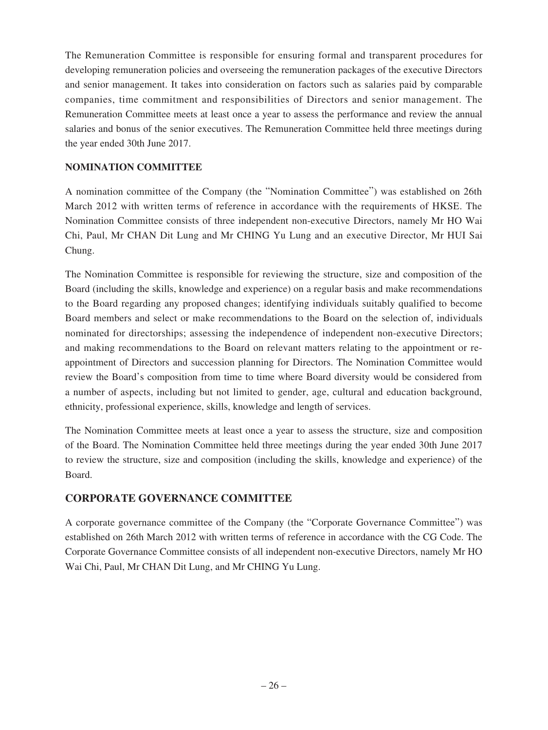The Remuneration Committee is responsible for ensuring formal and transparent procedures for developing remuneration policies and overseeing the remuneration packages of the executive Directors and senior management. It takes into consideration on factors such as salaries paid by comparable companies, time commitment and responsibilities of Directors and senior management. The Remuneration Committee meets at least once a year to assess the performance and review the annual salaries and bonus of the senior executives. The Remuneration Committee held three meetings during the year ended 30th June 2017.

# **NOMINATION COMMITTEE**

A nomination committee of the Company (the "Nomination Committee") was established on 26th March 2012 with written terms of reference in accordance with the requirements of HKSE. The Nomination Committee consists of three independent non-executive Directors, namely Mr HO Wai Chi, Paul, Mr CHAN Dit Lung and Mr CHING Yu Lung and an executive Director, Mr HUI Sai Chung.

The Nomination Committee is responsible for reviewing the structure, size and composition of the Board (including the skills, knowledge and experience) on a regular basis and make recommendations to the Board regarding any proposed changes; identifying individuals suitably qualified to become Board members and select or make recommendations to the Board on the selection of, individuals nominated for directorships; assessing the independence of independent non-executive Directors; and making recommendations to the Board on relevant matters relating to the appointment or reappointment of Directors and succession planning for Directors. The Nomination Committee would review the Board's composition from time to time where Board diversity would be considered from a number of aspects, including but not limited to gender, age, cultural and education background, ethnicity, professional experience, skills, knowledge and length of services.

The Nomination Committee meets at least once a year to assess the structure, size and composition of the Board. The Nomination Committee held three meetings during the year ended 30th June 2017 to review the structure, size and composition (including the skills, knowledge and experience) of the Board.

# **CORPORATE GOVERNANCE COMMITTEE**

A corporate governance committee of the Company (the "Corporate Governance Committee") was established on 26th March 2012 with written terms of reference in accordance with the CG Code. The Corporate Governance Committee consists of all independent non-executive Directors, namely Mr HO Wai Chi, Paul, Mr CHAN Dit Lung, and Mr CHING Yu Lung.